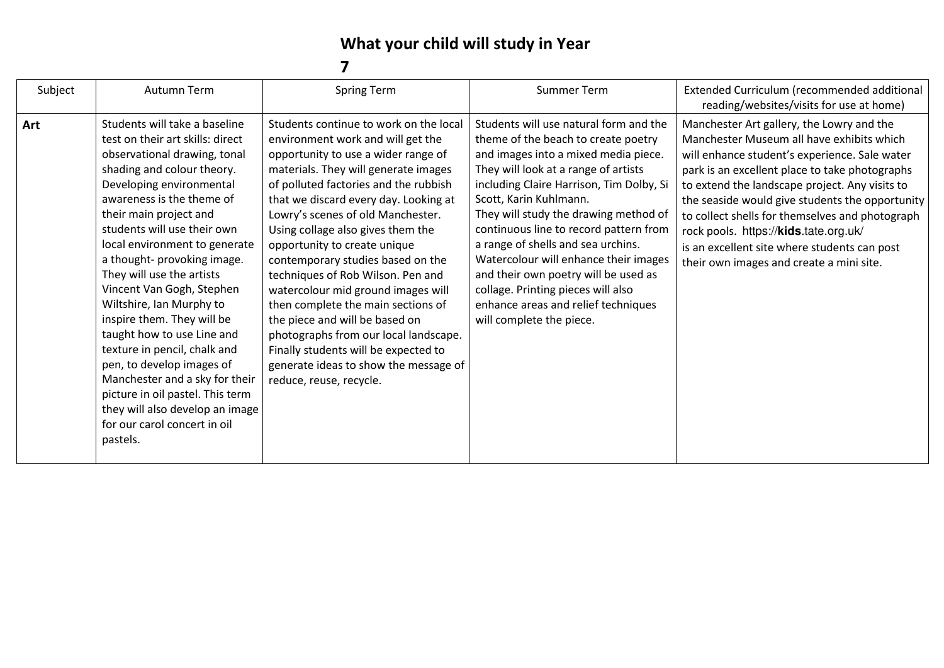## **What your child will study in Year**

| Subject | Autumn Term                                                                                                                                                                                                                                                                                                                                                                                                                                                                                                                                                                                                                                                                           | <b>Spring Term</b>                                                                                                                                                                                                                                                                                                                                                                                                                                                                                                                                                                                                                                                                                  | Summer Term                                                                                                                                                                                                                                                                                                                                                                                                                                                                                                                                            | Extended Curriculum (recommended additional<br>reading/websites/visits for use at home)                                                                                                                                                                                                                                                                                                                                                                                                |
|---------|---------------------------------------------------------------------------------------------------------------------------------------------------------------------------------------------------------------------------------------------------------------------------------------------------------------------------------------------------------------------------------------------------------------------------------------------------------------------------------------------------------------------------------------------------------------------------------------------------------------------------------------------------------------------------------------|-----------------------------------------------------------------------------------------------------------------------------------------------------------------------------------------------------------------------------------------------------------------------------------------------------------------------------------------------------------------------------------------------------------------------------------------------------------------------------------------------------------------------------------------------------------------------------------------------------------------------------------------------------------------------------------------------------|--------------------------------------------------------------------------------------------------------------------------------------------------------------------------------------------------------------------------------------------------------------------------------------------------------------------------------------------------------------------------------------------------------------------------------------------------------------------------------------------------------------------------------------------------------|----------------------------------------------------------------------------------------------------------------------------------------------------------------------------------------------------------------------------------------------------------------------------------------------------------------------------------------------------------------------------------------------------------------------------------------------------------------------------------------|
| Art     | Students will take a baseline<br>test on their art skills: direct<br>observational drawing, tonal<br>shading and colour theory.<br>Developing environmental<br>awareness is the theme of<br>their main project and<br>students will use their own<br>local environment to generate<br>a thought- provoking image.<br>They will use the artists<br>Vincent Van Gogh, Stephen<br>Wiltshire, Ian Murphy to<br>inspire them. They will be<br>taught how to use Line and<br>texture in pencil, chalk and<br>pen, to develop images of<br>Manchester and a sky for their<br>picture in oil pastel. This term<br>they will also develop an image<br>for our carol concert in oil<br>pastels. | Students continue to work on the local<br>environment work and will get the<br>opportunity to use a wider range of<br>materials. They will generate images<br>of polluted factories and the rubbish<br>that we discard every day. Looking at<br>Lowry's scenes of old Manchester.<br>Using collage also gives them the<br>opportunity to create unique<br>contemporary studies based on the<br>techniques of Rob Wilson. Pen and<br>watercolour mid ground images will<br>then complete the main sections of<br>the piece and will be based on<br>photographs from our local landscape.<br>Finally students will be expected to<br>generate ideas to show the message of<br>reduce, reuse, recycle. | Students will use natural form and the<br>theme of the beach to create poetry<br>and images into a mixed media piece.<br>They will look at a range of artists<br>including Claire Harrison, Tim Dolby, Si<br>Scott, Karin Kuhlmann.<br>They will study the drawing method of<br>continuous line to record pattern from<br>a range of shells and sea urchins.<br>Watercolour will enhance their images<br>and their own poetry will be used as<br>collage. Printing pieces will also<br>enhance areas and relief techniques<br>will complete the piece. | Manchester Art gallery, the Lowry and the<br>Manchester Museum all have exhibits which<br>will enhance student's experience. Sale water<br>park is an excellent place to take photographs<br>to extend the landscape project. Any visits to<br>the seaside would give students the opportunity<br>to collect shells for themselves and photograph<br>rock pools. https://kids.tate.org.uk/<br>is an excellent site where students can post<br>their own images and create a mini site. |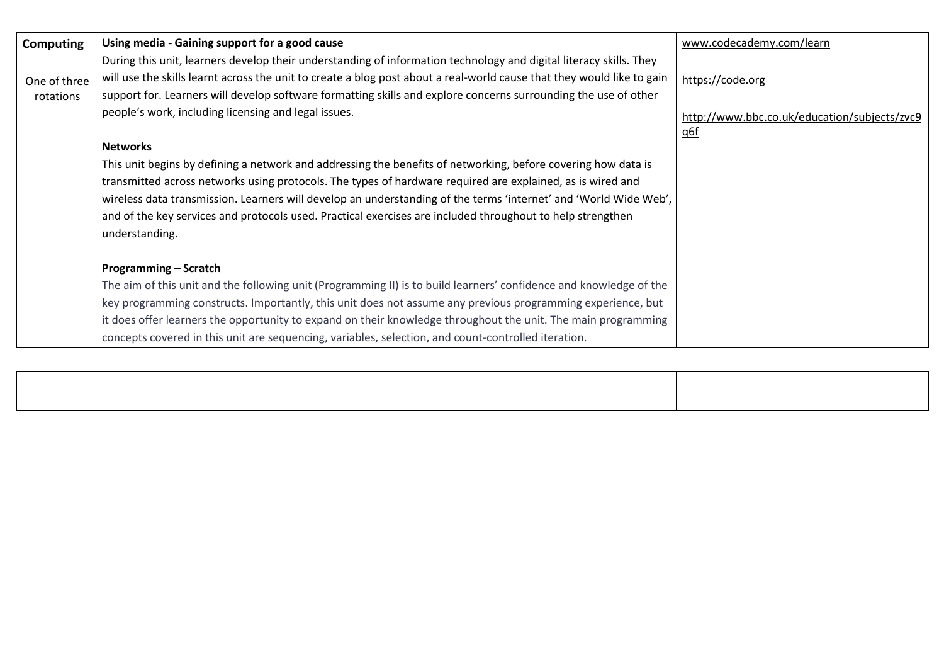| Computing    | Using media - Gaining support for a good cause                                                                                                                                                                                                                                                                                                                                                                                                                                  | www.codecademy.com/learn                     |
|--------------|---------------------------------------------------------------------------------------------------------------------------------------------------------------------------------------------------------------------------------------------------------------------------------------------------------------------------------------------------------------------------------------------------------------------------------------------------------------------------------|----------------------------------------------|
| One of three | During this unit, learners develop their understanding of information technology and digital literacy skills. They<br>will use the skills learnt across the unit to create a blog post about a real-world cause that they would like to gain                                                                                                                                                                                                                                    | https://code.org                             |
| rotations    | support for. Learners will develop software formatting skills and explore concerns surrounding the use of other<br>people's work, including licensing and legal issues.                                                                                                                                                                                                                                                                                                         | http://www.bbc.co.uk/education/subjects/zvc9 |
|              | <b>Networks</b>                                                                                                                                                                                                                                                                                                                                                                                                                                                                 | <u>q6f</u>                                   |
|              | This unit begins by defining a network and addressing the benefits of networking, before covering how data is<br>transmitted across networks using protocols. The types of hardware required are explained, as is wired and<br>wireless data transmission. Learners will develop an understanding of the terms 'internet' and 'World Wide Web',<br>and of the key services and protocols used. Practical exercises are included throughout to help strengthen<br>understanding. |                                              |
|              | <b>Programming – Scratch</b>                                                                                                                                                                                                                                                                                                                                                                                                                                                    |                                              |
|              | The aim of this unit and the following unit (Programming II) is to build learners' confidence and knowledge of the                                                                                                                                                                                                                                                                                                                                                              |                                              |
|              | key programming constructs. Importantly, this unit does not assume any previous programming experience, but                                                                                                                                                                                                                                                                                                                                                                     |                                              |
|              | it does offer learners the opportunity to expand on their knowledge throughout the unit. The main programming                                                                                                                                                                                                                                                                                                                                                                   |                                              |
|              | concepts covered in this unit are sequencing, variables, selection, and count-controlled iteration.                                                                                                                                                                                                                                                                                                                                                                             |                                              |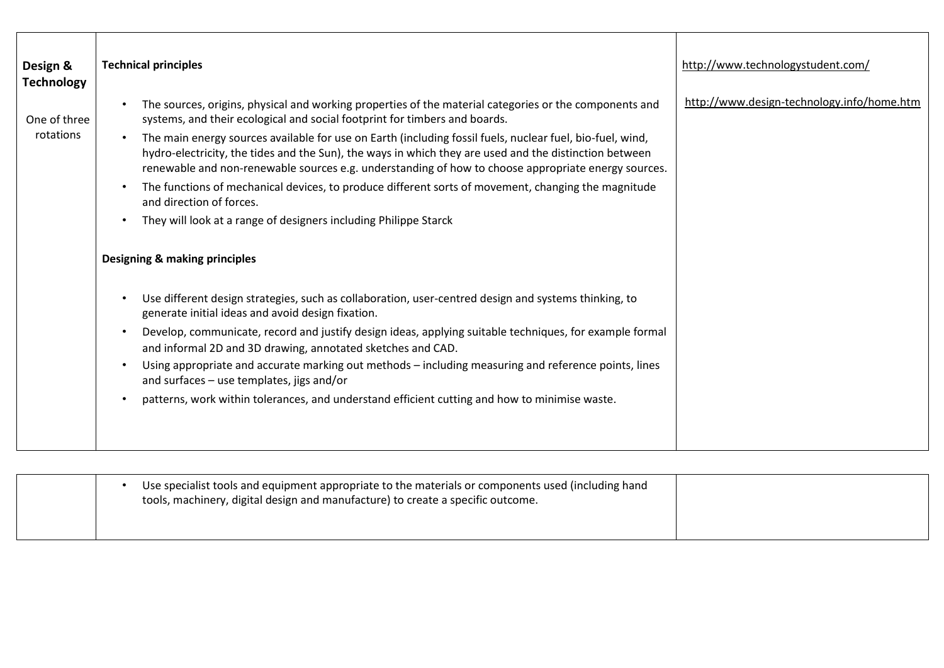| Design &<br><b>Technology</b> | <b>Technical principles</b>                                                                                                                                                                                                                                                                                                                                                                                                                                                                                                                                                                                                                                                                                                                                                                                                                                                                                                                                                                                                                                                                                                                                                                                                                                                                                                                                                                                                                                                | http://www.technologystudent.com/          |
|-------------------------------|----------------------------------------------------------------------------------------------------------------------------------------------------------------------------------------------------------------------------------------------------------------------------------------------------------------------------------------------------------------------------------------------------------------------------------------------------------------------------------------------------------------------------------------------------------------------------------------------------------------------------------------------------------------------------------------------------------------------------------------------------------------------------------------------------------------------------------------------------------------------------------------------------------------------------------------------------------------------------------------------------------------------------------------------------------------------------------------------------------------------------------------------------------------------------------------------------------------------------------------------------------------------------------------------------------------------------------------------------------------------------------------------------------------------------------------------------------------------------|--------------------------------------------|
| One of three<br>rotations     | The sources, origins, physical and working properties of the material categories or the components and<br>$\bullet$<br>systems, and their ecological and social footprint for timbers and boards.<br>The main energy sources available for use on Earth (including fossil fuels, nuclear fuel, bio-fuel, wind,<br>$\bullet$<br>hydro-electricity, the tides and the Sun), the ways in which they are used and the distinction between<br>renewable and non-renewable sources e.g. understanding of how to choose appropriate energy sources.<br>The functions of mechanical devices, to produce different sorts of movement, changing the magnitude<br>$\bullet$<br>and direction of forces.<br>They will look at a range of designers including Philippe Starck<br>$\bullet$<br><b>Designing &amp; making principles</b><br>Use different design strategies, such as collaboration, user-centred design and systems thinking, to<br>$\bullet$<br>generate initial ideas and avoid design fixation.<br>Develop, communicate, record and justify design ideas, applying suitable techniques, for example formal<br>$\bullet$<br>and informal 2D and 3D drawing, annotated sketches and CAD.<br>Using appropriate and accurate marking out methods - including measuring and reference points, lines<br>$\bullet$<br>and surfaces - use templates, jigs and/or<br>patterns, work within tolerances, and understand efficient cutting and how to minimise waste.<br>$\bullet$ | http://www.design-technology.info/home.htm |

|  | Use specialist tools and equipment appropriate to the materials or components used (including hand<br>tools, machinery, digital design and manufacture) to create a specific outcome. |  |
|--|---------------------------------------------------------------------------------------------------------------------------------------------------------------------------------------|--|
|  |                                                                                                                                                                                       |  |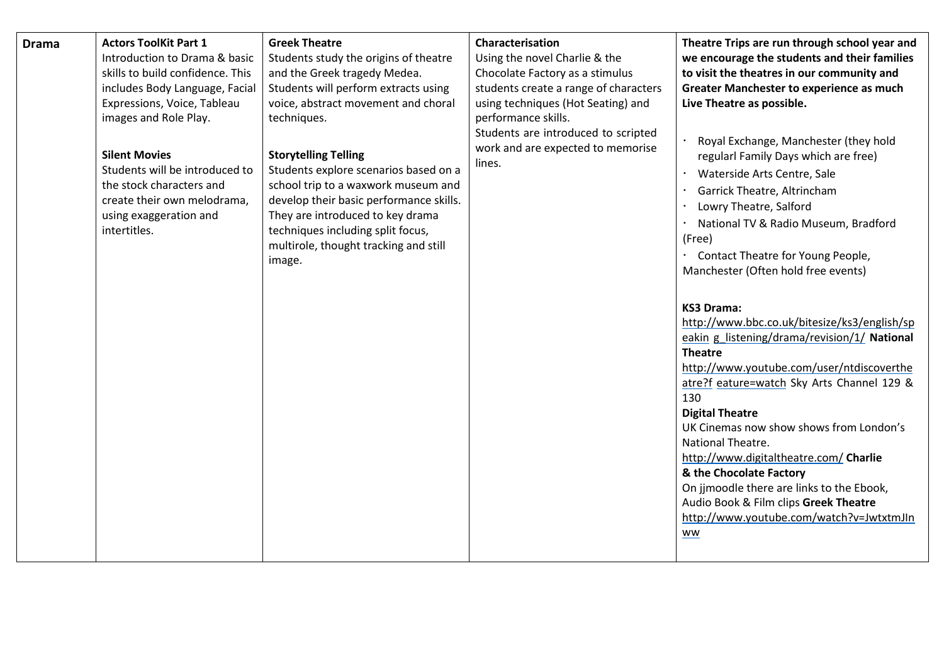| <b>Drama</b> | <b>Actors ToolKit Part 1</b>           | <b>Greek Theatre</b>                                                  | Characterisation                            | Theatre Trips are run through school year and                     |
|--------------|----------------------------------------|-----------------------------------------------------------------------|---------------------------------------------|-------------------------------------------------------------------|
|              | Introduction to Drama & basic          | Students study the origins of theatre                                 | Using the novel Charlie & the               | we encourage the students and their families                      |
|              | skills to build confidence. This       | and the Greek tragedy Medea.                                          | Chocolate Factory as a stimulus             | to visit the theatres in our community and                        |
|              | includes Body Language, Facial         | Students will perform extracts using                                  | students create a range of characters       | <b>Greater Manchester to experience as much</b>                   |
|              | Expressions, Voice, Tableau            | voice, abstract movement and choral                                   | using techniques (Hot Seating) and          | Live Theatre as possible.                                         |
|              | images and Role Play.                  | techniques.                                                           | performance skills.                         |                                                                   |
|              |                                        |                                                                       | Students are introduced to scripted         | Royal Exchange, Manchester (they hold                             |
|              | <b>Silent Movies</b>                   | <b>Storytelling Telling</b>                                           | work and are expected to memorise<br>lines. | regularl Family Days which are free)                              |
|              | Students will be introduced to         | Students explore scenarios based on a                                 |                                             | Waterside Arts Centre, Sale                                       |
|              | the stock characters and               | school trip to a waxwork museum and                                   |                                             | Garrick Theatre, Altrincham                                       |
|              | create their own melodrama,            | develop their basic performance skills.                               |                                             | Lowry Theatre, Salford                                            |
|              | using exaggeration and<br>intertitles. | They are introduced to key drama<br>techniques including split focus, |                                             | National TV & Radio Museum, Bradford                              |
|              |                                        | multirole, thought tracking and still                                 |                                             | (Free)                                                            |
|              |                                        | image.                                                                |                                             | Contact Theatre for Young People,                                 |
|              |                                        |                                                                       |                                             | Manchester (Often hold free events)                               |
|              |                                        |                                                                       |                                             |                                                                   |
|              |                                        |                                                                       |                                             | <b>KS3 Drama:</b>                                                 |
|              |                                        |                                                                       |                                             | http://www.bbc.co.uk/bitesize/ks3/english/sp                      |
|              |                                        |                                                                       |                                             | eakin g listening/drama/revision/1/ National                      |
|              |                                        |                                                                       |                                             | <b>Theatre</b>                                                    |
|              |                                        |                                                                       |                                             | http://www.youtube.com/user/ntdiscoverthe                         |
|              |                                        |                                                                       |                                             | atre?f eature=watch Sky Arts Channel 129 &                        |
|              |                                        |                                                                       |                                             | 130                                                               |
|              |                                        |                                                                       |                                             | <b>Digital Theatre</b><br>UK Cinemas now show shows from London's |
|              |                                        |                                                                       |                                             | National Theatre.                                                 |
|              |                                        |                                                                       |                                             | http://www.digitaltheatre.com/ Charlie                            |
|              |                                        |                                                                       |                                             | & the Chocolate Factory                                           |
|              |                                        |                                                                       |                                             | On jjmoodle there are links to the Ebook,                         |
|              |                                        |                                                                       |                                             | Audio Book & Film clips Greek Theatre                             |
|              |                                        |                                                                       |                                             | http://www.youtube.com/watch?v=JwtxtmJln                          |
|              |                                        |                                                                       |                                             | ww                                                                |
|              |                                        |                                                                       |                                             |                                                                   |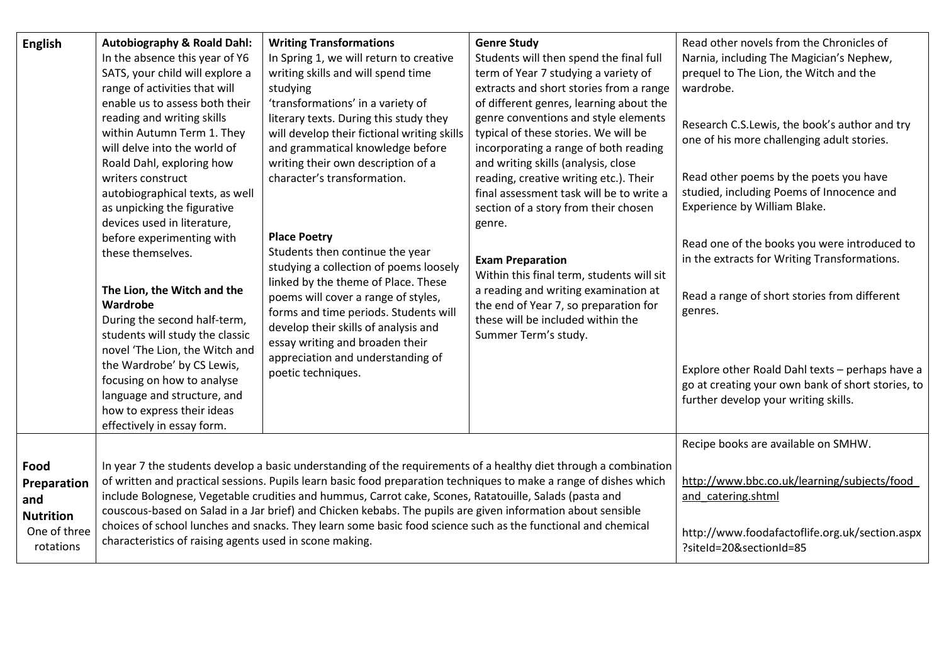| <b>English</b>                                                              | <b>Autobiography &amp; Roald Dahl:</b><br>In the absence this year of Y6<br>SATS, your child will explore a<br>range of activities that will<br>enable us to assess both their<br>reading and writing skills<br>within Autumn Term 1. They<br>will delve into the world of<br>Roald Dahl, exploring how<br>writers construct<br>autobiographical texts, as well<br>as unpicking the figurative<br>devices used in literature,<br>before experimenting with<br>these themselves.<br>The Lion, the Witch and the<br>Wardrobe<br>During the second half-term,<br>students will study the classic<br>novel 'The Lion, the Witch and<br>the Wardrobe' by CS Lewis,<br>focusing on how to analyse<br>language and structure, and<br>how to express their ideas<br>effectively in essay form. | <b>Writing Transformations</b><br>In Spring 1, we will return to creative<br>writing skills and will spend time<br>studying<br>'transformations' in a variety of<br>literary texts. During this study they<br>will develop their fictional writing skills<br>and grammatical knowledge before<br>writing their own description of a<br>character's transformation.<br><b>Place Poetry</b><br>Students then continue the year<br>studying a collection of poems loosely<br>linked by the theme of Place. These<br>poems will cover a range of styles,<br>forms and time periods. Students will<br>develop their skills of analysis and<br>essay writing and broaden their<br>appreciation and understanding of<br>poetic techniques. | <b>Genre Study</b><br>Students will then spend the final full<br>term of Year 7 studying a variety of<br>extracts and short stories from a range<br>of different genres, learning about the<br>genre conventions and style elements<br>typical of these stories. We will be<br>incorporating a range of both reading<br>and writing skills (analysis, close<br>reading, creative writing etc.). Their<br>final assessment task will be to write a<br>section of a story from their chosen<br>genre.<br><b>Exam Preparation</b><br>Within this final term, students will sit<br>a reading and writing examination at<br>the end of Year 7, so preparation for<br>these will be included within the<br>Summer Term's study. | Read other novels from the Chronicles of<br>Narnia, including The Magician's Nephew,<br>prequel to The Lion, the Witch and the<br>wardrobe.<br>Research C.S.Lewis, the book's author and try<br>one of his more challenging adult stories.<br>Read other poems by the poets you have<br>studied, including Poems of Innocence and<br>Experience by William Blake.<br>Read one of the books you were introduced to<br>in the extracts for Writing Transformations.<br>Read a range of short stories from different<br>genres.<br>Explore other Roald Dahl texts - perhaps have a<br>go at creating your own bank of short stories, to<br>further develop your writing skills. |
|-----------------------------------------------------------------------------|----------------------------------------------------------------------------------------------------------------------------------------------------------------------------------------------------------------------------------------------------------------------------------------------------------------------------------------------------------------------------------------------------------------------------------------------------------------------------------------------------------------------------------------------------------------------------------------------------------------------------------------------------------------------------------------------------------------------------------------------------------------------------------------|-------------------------------------------------------------------------------------------------------------------------------------------------------------------------------------------------------------------------------------------------------------------------------------------------------------------------------------------------------------------------------------------------------------------------------------------------------------------------------------------------------------------------------------------------------------------------------------------------------------------------------------------------------------------------------------------------------------------------------------|---------------------------------------------------------------------------------------------------------------------------------------------------------------------------------------------------------------------------------------------------------------------------------------------------------------------------------------------------------------------------------------------------------------------------------------------------------------------------------------------------------------------------------------------------------------------------------------------------------------------------------------------------------------------------------------------------------------------------|------------------------------------------------------------------------------------------------------------------------------------------------------------------------------------------------------------------------------------------------------------------------------------------------------------------------------------------------------------------------------------------------------------------------------------------------------------------------------------------------------------------------------------------------------------------------------------------------------------------------------------------------------------------------------|
| Food<br>Preparation<br>and<br><b>Nutrition</b><br>One of three<br>rotations | characteristics of raising agents used in scone making.                                                                                                                                                                                                                                                                                                                                                                                                                                                                                                                                                                                                                                                                                                                                | In year 7 the students develop a basic understanding of the requirements of a healthy diet through a combination<br>of written and practical sessions. Pupils learn basic food preparation techniques to make a range of dishes which<br>include Bolognese, Vegetable crudities and hummus, Carrot cake, Scones, Ratatouille, Salads (pasta and<br>couscous-based on Salad in a Jar brief) and Chicken kebabs. The pupils are given information about sensible<br>choices of school lunches and snacks. They learn some basic food science such as the functional and chemical                                                                                                                                                      |                                                                                                                                                                                                                                                                                                                                                                                                                                                                                                                                                                                                                                                                                                                           | Recipe books are available on SMHW.<br>http://www.bbc.co.uk/learning/subjects/food<br>and catering.shtml<br>http://www.foodafactoflife.org.uk/section.aspx<br>?siteId=20&sectionId=85                                                                                                                                                                                                                                                                                                                                                                                                                                                                                        |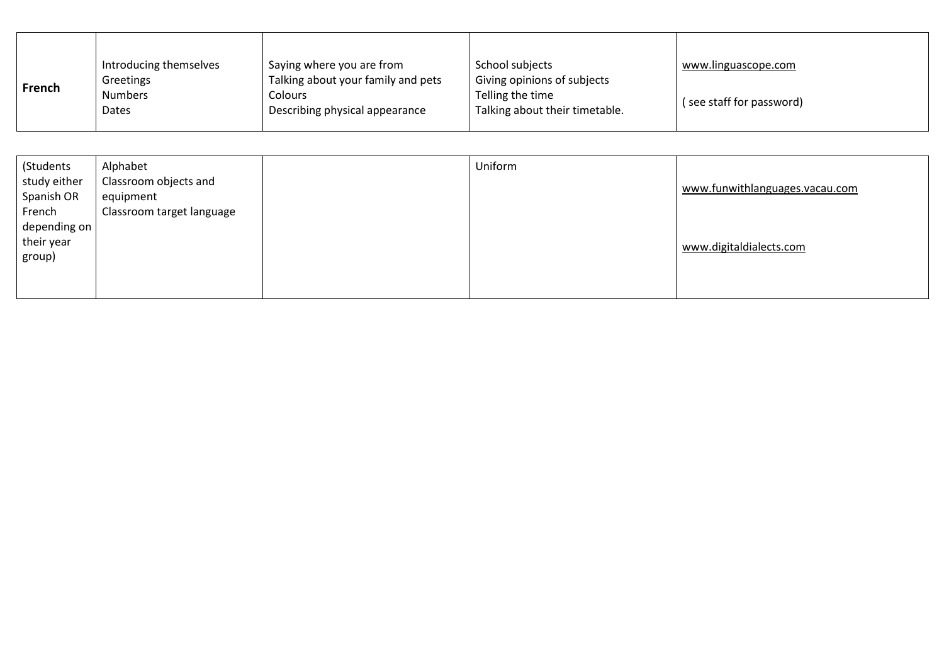|        | Introducing themselves  | Saying where you are from                        | School subjects                                    | www.linguascope.com      |
|--------|-------------------------|--------------------------------------------------|----------------------------------------------------|--------------------------|
| French | Greetings               | Talking about your family and pets               | Giving opinions of subjects                        |                          |
|        | <b>Numbers</b><br>Dates | <b>Colours</b><br>Describing physical appearance | Telling the time<br>Talking about their timetable. | (see staff for password) |
|        |                         |                                                  |                                                    |                          |

| (Students<br>study either<br>Spanish OR        | Alphabet<br>Classroom objects and<br>equipment | Uniform | www.funwithlanguages.vacau.com |
|------------------------------------------------|------------------------------------------------|---------|--------------------------------|
| French<br>depending on<br>their year<br>group) | Classroom target language                      |         | www.digitaldialects.com        |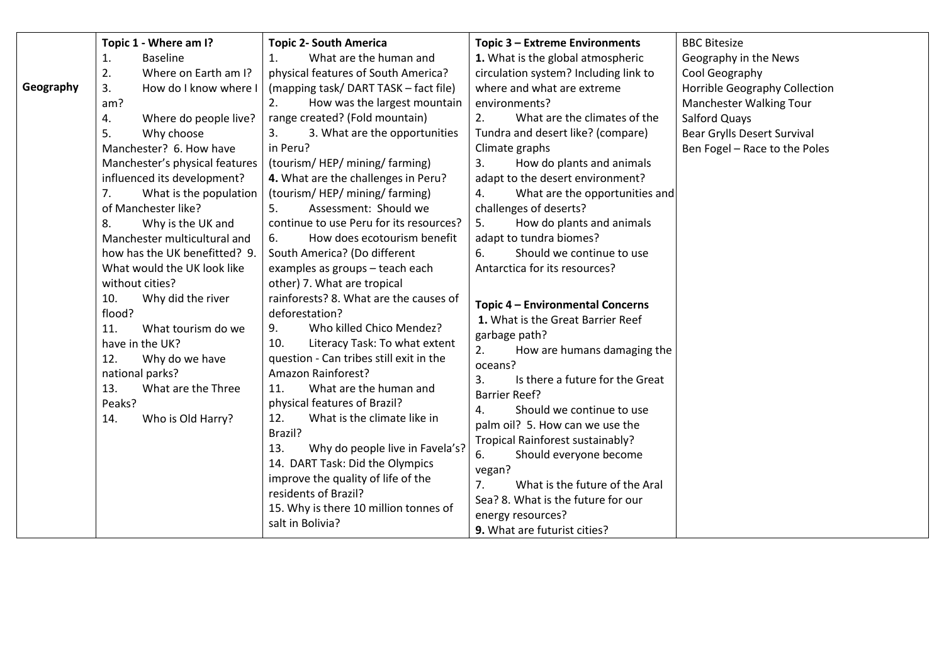| Topic 1 - Where am I?<br><b>Topic 2- South America</b><br>Topic 3 - Extreme Environments<br><b>BBC Bitesize</b><br>What are the human and<br>1. What is the global atmospheric<br>1.<br><b>Baseline</b><br>Geography in the News<br>1.<br>2.<br>Where on Earth am I?<br>physical features of South America?<br>circulation system? Including link to<br>Cool Geography<br>Geography<br>How do I know where I<br>(mapping task/ DART TASK - fact file)<br>where and what are extreme<br>Horrible Geography Collection<br>3.<br>How was the largest mountain<br>Manchester Walking Tour<br>am?<br>2.<br>environments?<br>range created? (Fold mountain)<br>2.<br>What are the climates of the<br>Salford Quays<br>4.<br>Where do people live?<br>3. What are the opportunities<br>5.<br>Why choose<br>Tundra and desert like? (compare)<br>Bear Grylls Desert Survival<br>3.<br>Manchester? 6. How have<br>in Peru?<br>Climate graphs<br>Ben Fogel - Race to the Poles<br>(tourism/HEP/mining/farming)<br>3.<br>How do plants and animals<br>Manchester's physical features<br>influenced its development?<br>4. What are the challenges in Peru?<br>adapt to the desert environment?<br>(tourism/HEP/mining/farming)<br>What is the population<br>7.<br>4.<br>What are the opportunities and<br>of Manchester like?<br>Assessment: Should we<br>challenges of deserts?<br>5.<br>continue to use Peru for its resources?<br>5.<br>How do plants and animals<br>8.<br>Why is the UK and         |                              |                                   |                         |  |
|----------------------------------------------------------------------------------------------------------------------------------------------------------------------------------------------------------------------------------------------------------------------------------------------------------------------------------------------------------------------------------------------------------------------------------------------------------------------------------------------------------------------------------------------------------------------------------------------------------------------------------------------------------------------------------------------------------------------------------------------------------------------------------------------------------------------------------------------------------------------------------------------------------------------------------------------------------------------------------------------------------------------------------------------------------------------------------------------------------------------------------------------------------------------------------------------------------------------------------------------------------------------------------------------------------------------------------------------------------------------------------------------------------------------------------------------------------------------------------------------|------------------------------|-----------------------------------|-------------------------|--|
| Should we continue to use<br>how has the UK benefitted? 9<br>South America? (Do different<br>6.<br>Antarctica for its resources?<br>examples as groups - teach each<br>What would the UK look like<br>other) 7. What are tropical<br>without cities?<br>rainforests? 8. What are the causes of<br>Why did the river<br>10.<br>Topic 4 - Environmental Concerns<br>flood?<br>deforestation?<br>1. What is the Great Barrier Reef<br>9.<br>Who killed Chico Mendez?<br>11.<br>What tourism do we<br>garbage path?<br>have in the UK?<br>Literacy Task: To what extent<br>10.<br>2.<br>How are humans damaging the<br>question - Can tribes still exit in the<br>12.<br>Why do we have<br>oceans?<br>Amazon Rainforest?<br>national parks?<br>Is there a future for the Great<br>3.<br>What are the human and<br>What are the Three<br>11.<br>13.<br><b>Barrier Reef?</b><br>Peaks?<br>physical features of Brazil?<br>Should we continue to use<br>4.<br>What is the climate like in<br>Who is Old Harry?<br>12.<br>14.<br>palm oil? 5. How can we use the<br>Brazil?<br>Tropical Rainforest sustainably?<br>Why do people live in Favela's?<br>13.<br>Should everyone become<br>6.<br>14. DART Task: Did the Olympics<br>vegan?<br>improve the quality of life of the<br>What is the future of the Aral<br>7.<br>residents of Brazil?<br>Sea? 8. What is the future for our<br>15. Why is there 10 million tonnes of<br>energy resources?<br>salt in Bolivia?<br>9. What are futurist cities? | Manchester multicultural and | How does ecotourism benefit<br>6. | adapt to tundra biomes? |  |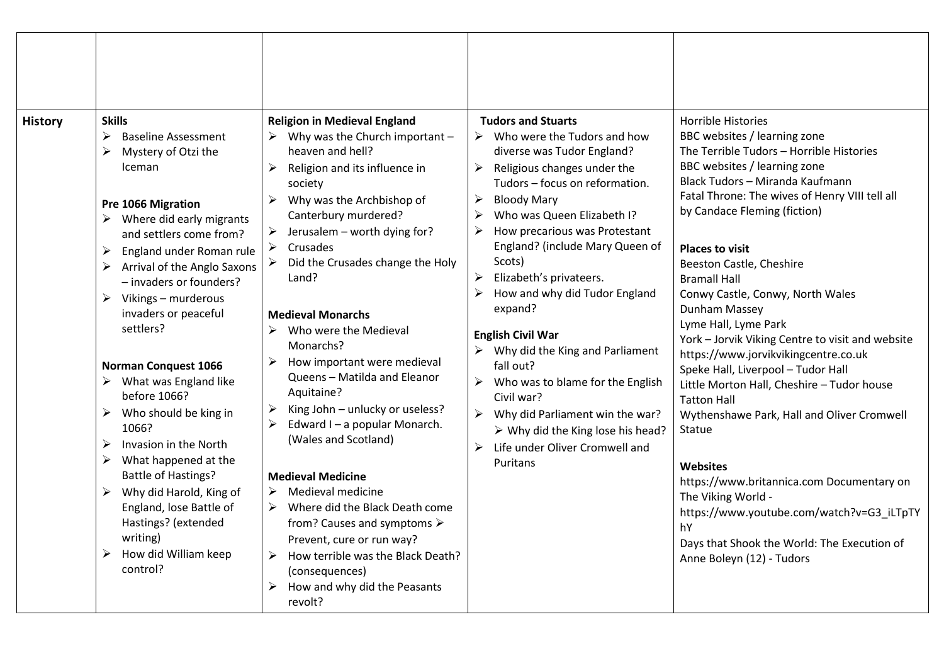| <b>History</b> | <b>Skills</b><br>➤<br><b>Baseline Assessment</b><br>≻<br>Mystery of Otzi the<br>Iceman<br>Pre 1066 Migration<br>Where did early migrants<br>and settlers come from?<br>$\blacktriangleright$<br>England under Roman rule<br>Arrival of the Anglo Saxons<br>- invaders or founders?<br>Vikings - murderous<br>➤<br>invaders or peaceful<br>settlers?<br><b>Norman Conquest 1066</b><br>What was England like<br>before 1066?<br>Who should be king in<br>≻<br>1066?<br>Invasion in the North<br>➤<br>➤<br>What happened at the<br><b>Battle of Hastings?</b><br>Why did Harold, King of<br>➤<br>England, lose Battle of<br>Hastings? (extended<br>writing)<br>How did William keep<br>≻<br>control? | <b>Religion in Medieval England</b><br>$\triangleright$ Why was the Church important -<br>heaven and hell?<br>➤<br>Religion and its influence in<br>society<br>Why was the Archbishop of<br>$\blacktriangleright$<br>Canterbury murdered?<br>$\triangleright$ Jerusalem – worth dying for?<br>Crusades<br>Did the Crusades change the Holy<br>➤<br>Land?<br><b>Medieval Monarchs</b><br>$\triangleright$ Who were the Medieval<br>Monarchs?<br>$\triangleright$ How important were medieval<br>Queens - Matilda and Eleanor<br>Aquitaine?<br>King John - unlucky or useless?<br>Edward I - a popular Monarch.<br>(Wales and Scotland)<br><b>Medieval Medicine</b><br>$\triangleright$ Medieval medicine<br>$\triangleright$ Where did the Black Death come<br>from? Causes and symptoms $\triangleright$<br>Prevent, cure or run way?<br>How terrible was the Black Death?<br>➤<br>(consequences)<br>How and why did the Peasants<br>revolt? | <b>Tudors and Stuarts</b><br>$\triangleright$ Who were the Tudors and how<br>diverse was Tudor England?<br>Religious changes under the<br>➤<br>Tudors - focus on reformation.<br>$\blacktriangleright$<br><b>Bloody Mary</b><br>Who was Queen Elizabeth I?<br>$\blacktriangleright$<br>➤<br>How precarious was Protestant<br>England? (include Mary Queen of<br>Scots)<br>$\blacktriangleright$<br>Elizabeth's privateers.<br>How and why did Tudor England<br>expand?<br><b>English Civil War</b><br>$\triangleright$ Why did the King and Parliament<br>fall out?<br>$\blacktriangleright$<br>Who was to blame for the English<br>Civil war?<br>$\blacktriangleright$<br>Why did Parliament win the war?<br>$\triangleright$ Why did the King lose his head?<br>$\blacktriangleright$<br>Life under Oliver Cromwell and<br>Puritans | <b>Horrible Histories</b><br>BBC websites / learning zone<br>The Terrible Tudors - Horrible Histories<br>BBC websites / learning zone<br>Black Tudors - Miranda Kaufmann<br>Fatal Throne: The wives of Henry VIII tell all<br>by Candace Fleming (fiction)<br><b>Places to visit</b><br>Beeston Castle, Cheshire<br><b>Bramall Hall</b><br>Conwy Castle, Conwy, North Wales<br>Dunham Massey<br>Lyme Hall, Lyme Park<br>York - Jorvik Viking Centre to visit and website<br>https://www.jorvikvikingcentre.co.uk<br>Speke Hall, Liverpool - Tudor Hall<br>Little Morton Hall, Cheshire - Tudor house<br><b>Tatton Hall</b><br>Wythenshawe Park, Hall and Oliver Cromwell<br>Statue<br><b>Websites</b><br>https://www.britannica.com Documentary on<br>The Viking World -<br>https://www.youtube.com/watch?v=G3_iLTpTY<br>hY<br>Days that Shook the World: The Execution of<br>Anne Boleyn (12) - Tudors |
|----------------|----------------------------------------------------------------------------------------------------------------------------------------------------------------------------------------------------------------------------------------------------------------------------------------------------------------------------------------------------------------------------------------------------------------------------------------------------------------------------------------------------------------------------------------------------------------------------------------------------------------------------------------------------------------------------------------------------|----------------------------------------------------------------------------------------------------------------------------------------------------------------------------------------------------------------------------------------------------------------------------------------------------------------------------------------------------------------------------------------------------------------------------------------------------------------------------------------------------------------------------------------------------------------------------------------------------------------------------------------------------------------------------------------------------------------------------------------------------------------------------------------------------------------------------------------------------------------------------------------------------------------------------------------------|---------------------------------------------------------------------------------------------------------------------------------------------------------------------------------------------------------------------------------------------------------------------------------------------------------------------------------------------------------------------------------------------------------------------------------------------------------------------------------------------------------------------------------------------------------------------------------------------------------------------------------------------------------------------------------------------------------------------------------------------------------------------------------------------------------------------------------------|---------------------------------------------------------------------------------------------------------------------------------------------------------------------------------------------------------------------------------------------------------------------------------------------------------------------------------------------------------------------------------------------------------------------------------------------------------------------------------------------------------------------------------------------------------------------------------------------------------------------------------------------------------------------------------------------------------------------------------------------------------------------------------------------------------------------------------------------------------------------------------------------------------|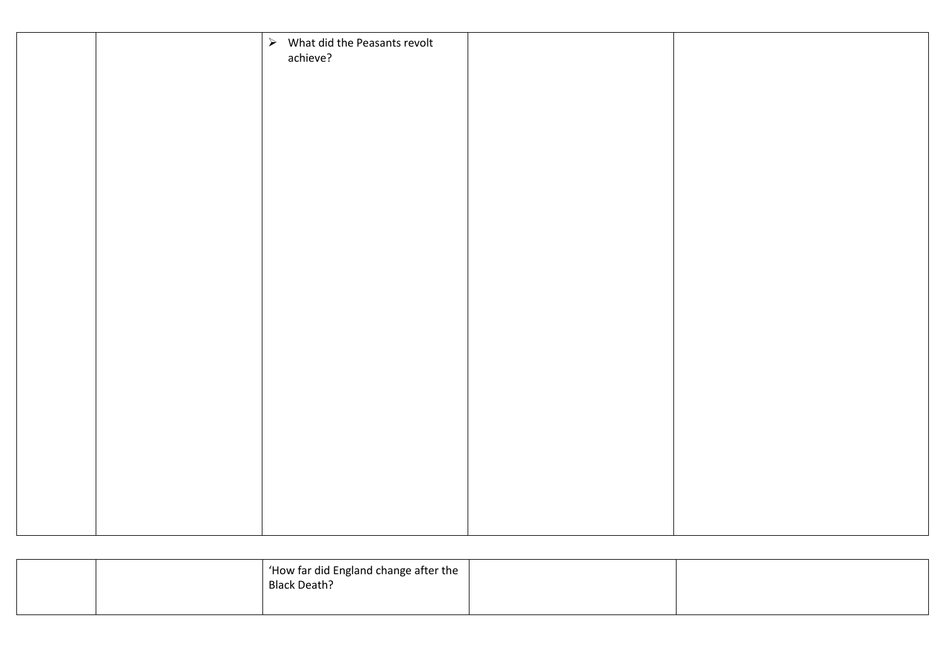|  | $\triangleright$ What did the Peasants revolt<br>achieve? |  |
|--|-----------------------------------------------------------|--|
|  |                                                           |  |
|  |                                                           |  |
|  |                                                           |  |
|  |                                                           |  |
|  |                                                           |  |
|  |                                                           |  |
|  |                                                           |  |
|  |                                                           |  |
|  |                                                           |  |
|  |                                                           |  |
|  |                                                           |  |
|  |                                                           |  |

|  | $\vert$ 'How far did England change after the $\vert$<br><b>Black Death?</b> |  |
|--|------------------------------------------------------------------------------|--|
|  |                                                                              |  |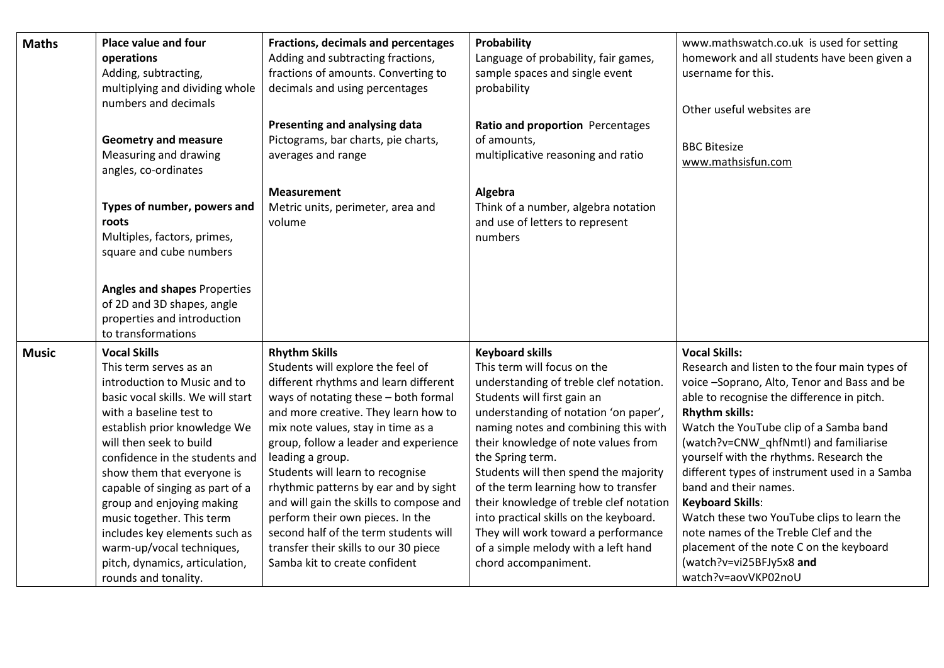| <b>Maths</b> | <b>Place value and four</b><br>operations<br>Adding, subtracting,<br>multiplying and dividing whole<br>numbers and decimals                                                                                                                                                                                                              | Fractions, decimals and percentages<br>Adding and subtracting fractions,<br>fractions of amounts. Converting to<br>decimals and using percentages                                                                                                                                                                                                                                                             | Probability<br>Language of probability, fair games,<br>sample spaces and single event<br>probability                                                                                                                                                                                                                                                                                                   | www.mathswatch.co.uk is used for setting<br>homework and all students have been given a<br>username for this.<br>Other useful websites are                                                                                                                                                                                                                                                                                     |
|--------------|------------------------------------------------------------------------------------------------------------------------------------------------------------------------------------------------------------------------------------------------------------------------------------------------------------------------------------------|---------------------------------------------------------------------------------------------------------------------------------------------------------------------------------------------------------------------------------------------------------------------------------------------------------------------------------------------------------------------------------------------------------------|--------------------------------------------------------------------------------------------------------------------------------------------------------------------------------------------------------------------------------------------------------------------------------------------------------------------------------------------------------------------------------------------------------|--------------------------------------------------------------------------------------------------------------------------------------------------------------------------------------------------------------------------------------------------------------------------------------------------------------------------------------------------------------------------------------------------------------------------------|
|              | <b>Geometry and measure</b><br>Measuring and drawing<br>angles, co-ordinates                                                                                                                                                                                                                                                             | Presenting and analysing data<br>Pictograms, bar charts, pie charts,<br>averages and range                                                                                                                                                                                                                                                                                                                    | Ratio and proportion Percentages<br>of amounts,<br>multiplicative reasoning and ratio                                                                                                                                                                                                                                                                                                                  | <b>BBC Bitesize</b><br>www.mathsisfun.com                                                                                                                                                                                                                                                                                                                                                                                      |
|              | Types of number, powers and<br>roots<br>Multiples, factors, primes,<br>square and cube numbers                                                                                                                                                                                                                                           | <b>Measurement</b><br>Metric units, perimeter, area and<br>volume                                                                                                                                                                                                                                                                                                                                             | Algebra<br>Think of a number, algebra notation<br>and use of letters to represent<br>numbers                                                                                                                                                                                                                                                                                                           |                                                                                                                                                                                                                                                                                                                                                                                                                                |
|              | <b>Angles and shapes Properties</b><br>of 2D and 3D shapes, angle<br>properties and introduction<br>to transformations                                                                                                                                                                                                                   |                                                                                                                                                                                                                                                                                                                                                                                                               |                                                                                                                                                                                                                                                                                                                                                                                                        |                                                                                                                                                                                                                                                                                                                                                                                                                                |
| <b>Music</b> | <b>Vocal Skills</b><br>This term serves as an<br>introduction to Music and to<br>basic vocal skills. We will start<br>with a baseline test to<br>establish prior knowledge We<br>will then seek to build<br>confidence in the students and<br>show them that everyone is<br>capable of singing as part of a<br>group and enjoying making | <b>Rhythm Skills</b><br>Students will explore the feel of<br>different rhythms and learn different<br>ways of notating these - both formal<br>and more creative. They learn how to<br>mix note values, stay in time as a<br>group, follow a leader and experience<br>leading a group.<br>Students will learn to recognise<br>rhythmic patterns by ear and by sight<br>and will gain the skills to compose and | <b>Keyboard skills</b><br>This term will focus on the<br>understanding of treble clef notation.<br>Students will first gain an<br>understanding of notation 'on paper',<br>naming notes and combining this with<br>their knowledge of note values from<br>the Spring term.<br>Students will then spend the majority<br>of the term learning how to transfer<br>their knowledge of treble clef notation | <b>Vocal Skills:</b><br>Research and listen to the four main types of<br>voice -Soprano, Alto, Tenor and Bass and be<br>able to recognise the difference in pitch.<br><b>Rhythm skills:</b><br>Watch the YouTube clip of a Samba band<br>(watch?v=CNW qhfNmtI) and familiarise<br>yourself with the rhythms. Research the<br>different types of instrument used in a Samba<br>band and their names.<br><b>Keyboard Skills:</b> |
|              | music together. This term<br>includes key elements such as<br>warm-up/vocal techniques,<br>pitch, dynamics, articulation,<br>rounds and tonality.                                                                                                                                                                                        | perform their own pieces. In the<br>second half of the term students will<br>transfer their skills to our 30 piece<br>Samba kit to create confident                                                                                                                                                                                                                                                           | into practical skills on the keyboard.<br>They will work toward a performance<br>of a simple melody with a left hand<br>chord accompaniment.                                                                                                                                                                                                                                                           | Watch these two YouTube clips to learn the<br>note names of the Treble Clef and the<br>placement of the note C on the keyboard<br>(watch?v=vi25BFJy5x8 and<br>watch?v=aovVKP02noU                                                                                                                                                                                                                                              |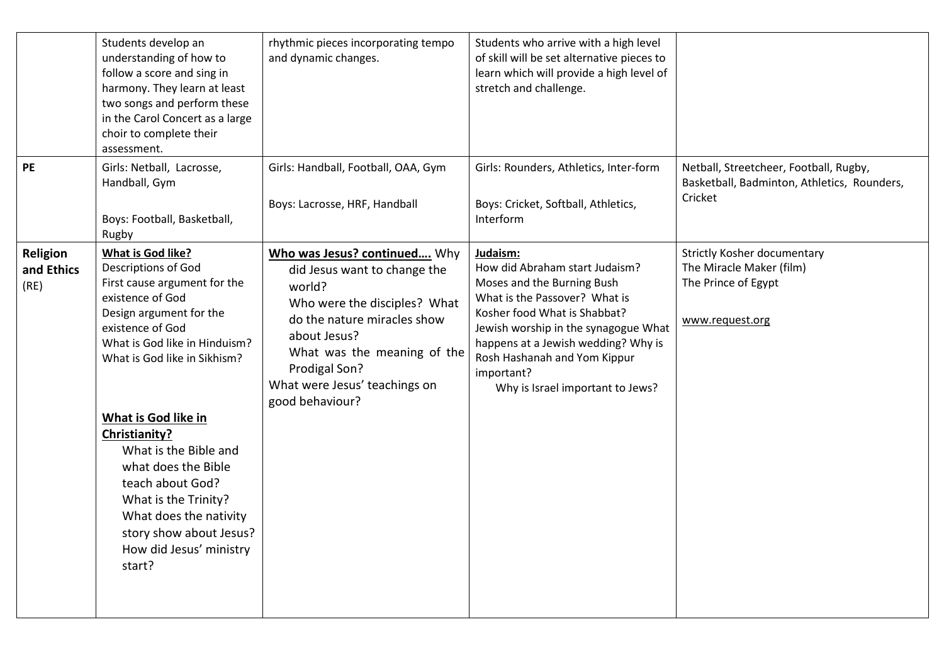|                                       | Students develop an<br>understanding of how to<br>follow a score and sing in<br>harmony. They learn at least<br>two songs and perform these<br>in the Carol Concert as a large<br>choir to complete their<br>assessment.                                                                                                                                                                                                                                 | rhythmic pieces incorporating tempo<br>and dynamic changes.                                                                                                                                                                                               | Students who arrive with a high level<br>of skill will be set alternative pieces to<br>learn which will provide a high level of<br>stretch and challenge.                                                                                                                                                  |                                                                                                          |
|---------------------------------------|----------------------------------------------------------------------------------------------------------------------------------------------------------------------------------------------------------------------------------------------------------------------------------------------------------------------------------------------------------------------------------------------------------------------------------------------------------|-----------------------------------------------------------------------------------------------------------------------------------------------------------------------------------------------------------------------------------------------------------|------------------------------------------------------------------------------------------------------------------------------------------------------------------------------------------------------------------------------------------------------------------------------------------------------------|----------------------------------------------------------------------------------------------------------|
| PE                                    | Girls: Netball, Lacrosse,<br>Handball, Gym<br>Boys: Football, Basketball,<br>Rugby                                                                                                                                                                                                                                                                                                                                                                       | Girls: Handball, Football, OAA, Gym<br>Boys: Lacrosse, HRF, Handball                                                                                                                                                                                      | Girls: Rounders, Athletics, Inter-form<br>Boys: Cricket, Softball, Athletics,<br>Interform                                                                                                                                                                                                                 | Netball, Streetcheer, Football, Rugby,<br>Basketball, Badminton, Athletics, Rounders,<br>Cricket         |
| <b>Religion</b><br>and Ethics<br>(RE) | <b>What is God like?</b><br><b>Descriptions of God</b><br>First cause argument for the<br>existence of God<br>Design argument for the<br>existence of God<br>What is God like in Hinduism?<br>What is God like in Sikhism?<br>What is God like in<br>Christianity?<br>What is the Bible and<br>what does the Bible<br>teach about God?<br>What is the Trinity?<br>What does the nativity<br>story show about Jesus?<br>How did Jesus' ministry<br>start? | Who was Jesus? continued Why<br>did Jesus want to change the<br>world?<br>Who were the disciples? What<br>do the nature miracles show<br>about Jesus?<br>What was the meaning of the<br>Prodigal Son?<br>What were Jesus' teachings on<br>good behaviour? | Judaism:<br>How did Abraham start Judaism?<br>Moses and the Burning Bush<br>What is the Passover? What is<br>Kosher food What is Shabbat?<br>Jewish worship in the synagogue What<br>happens at a Jewish wedding? Why is<br>Rosh Hashanah and Yom Kippur<br>important?<br>Why is Israel important to Jews? | <b>Strictly Kosher documentary</b><br>The Miracle Maker (film)<br>The Prince of Egypt<br>www.request.org |